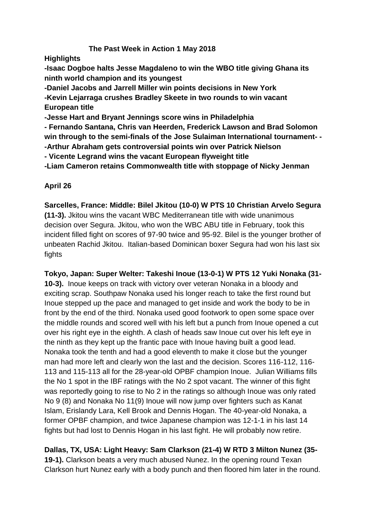### **The Past Week in Action 1 May 2018**

**Highlights**

**-Isaac Dogboe halts Jesse Magdaleno to win the WBO title giving Ghana its ninth world champion and its youngest**

**-Daniel Jacobs and Jarrell Miller win points decisions in New York -Kevin Lejarraga crushes Bradley Skeete in two rounds to win vacant European title**

**-Jesse Hart and Bryant Jennings score wins in Philadelphia**

**- Fernando Santana, Chris van Heerden, Frederick Lawson and Brad Solomon win through to the semi-finals of the Jose Sulaiman International tournament- - -Arthur Abraham gets controversial points win over Patrick Nielson**

**- Vicente Legrand wins the vacant European flyweight title**

**-Liam Cameron retains Commonwealth title with stoppage of Nicky Jenman**

**April 26**

**Sarcelles, France: Middle: Bilel Jkitou (10-0) W PTS 10 Christian Arvelo Segura** 

**(11-3).** Jkitou wins the vacant WBC Mediterranean title with wide unanimous decision over Segura. Jkitou, who won the WBC ABU title in February, took this incident filled fight on scores of 97-90 twice and 95-92. Bilel is the younger brother of unbeaten Rachid Jkitou. Italian-based Dominican boxer Segura had won his last six fights

**Tokyo, Japan: Super Welter: Takeshi Inoue (13-0-1) W PTS 12 Yuki Nonaka (31- 10-3).** Inoue keeps on track with victory over veteran Nonaka in a bloody and exciting scrap. Southpaw Nonaka used his longer reach to take the first round but Inoue stepped up the pace and managed to get inside and work the body to be in front by the end of the third. Nonaka used good footwork to open some space over the middle rounds and scored well with his left but a punch from Inoue opened a cut over his right eye in the eighth. A clash of heads saw Inoue cut over his left eye in the ninth as they kept up the frantic pace with Inoue having built a good lead. Nonaka took the tenth and had a good eleventh to make it close but the younger man had more left and clearly won the last and the decision. Scores 116-112, 116- 113 and 115-113 all for the 28-year-old OPBF champion Inoue. Julian Williams fills the No 1 spot in the IBF ratings with the No 2 spot vacant. The winner of this fight was reportedly going to rise to No 2 in the ratings so although Inoue was only rated No 9 (8) and Nonaka No 11(9) Inoue will now jump over fighters such as Kanat Islam, Erislandy Lara, Kell Brook and Dennis Hogan. The 40-year-old Nonaka, a former OPBF champion, and twice Japanese champion was 12-1-1 in his last 14 fights but had lost to Dennis Hogan in his last fight. He will probably now retire.

**Dallas, TX, USA: Light Heavy: Sam Clarkson (21-4) W RTD 3 Milton Nunez (35-**

**19-1).** Clarkson beats a very much abused Nunez. In the opening round Texan Clarkson hurt Nunez early with a body punch and then floored him later in the round.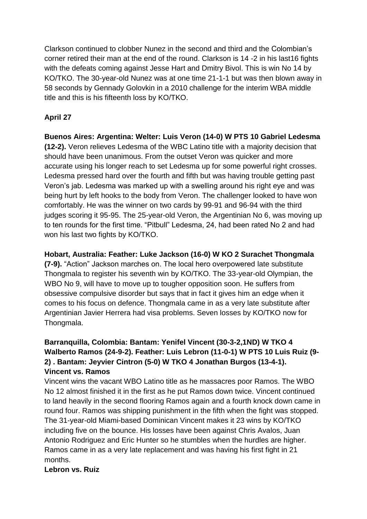Clarkson continued to clobber Nunez in the second and third and the Colombian's corner retired their man at the end of the round. Clarkson is 14 -2 in his last16 fights with the defeats coming against Jesse Hart and Dmitry Bivol. This is win No 14 by KO/TKO. The 30-year-old Nunez was at one time 21-1-1 but was then blown away in 58 seconds by Gennady Golovkin in a 2010 challenge for the interim WBA middle title and this is his fifteenth loss by KO/TKO.

### **April 27**

**Buenos Aires: Argentina: Welter: Luis Veron (14-0) W PTS 10 Gabriel Ledesma (12-2).** Veron relieves Ledesma of the WBC Latino title with a majority decision that should have been unanimous. From the outset Veron was quicker and more accurate using his longer reach to set Ledesma up for some powerful right crosses. Ledesma pressed hard over the fourth and fifth but was having trouble getting past Veron's jab. Ledesma was marked up with a swelling around his right eye and was being hurt by left hooks to the body from Veron. The challenger looked to have won comfortably. He was the winner on two cards by 99-91 and 96-94 with the third judges scoring it 95-95. The 25-year-old Veron, the Argentinian No 6, was moving up to ten rounds for the first time. "Pitbull" Ledesma, 24, had been rated No 2 and had won his last two fights by KO/TKO.

### **Hobart, Australia: Feather: Luke Jackson (16-0) W KO 2 Surachet Thongmala**

**(7-9).** "Action" Jackson marches on. The local hero overpowered late substitute Thongmala to register his seventh win by KO/TKO. The 33-year-old Olympian, the WBO No 9, will have to move up to tougher opposition soon. He suffers from obsessive compulsive disorder but says that in fact it gives him an edge when it comes to his focus on defence. Thongmala came in as a very late substitute after Argentinian Javier Herrera had visa problems. Seven losses by KO/TKO now for Thongmala.

### **Barranquilla, Colombia: Bantam: Yenifel Vincent (30-3-2,1ND) W TKO 4 Walberto Ramos (24-9-2). Feather: Luis Lebron (11-0-1) W PTS 10 Luis Ruiz (9- 2) . Bantam: Jeyvier Cintron (5-0) W TKO 4 Jonathan Burgos (13-4-1). Vincent vs. Ramos**

Vincent wins the vacant WBO Latino title as he massacres poor Ramos. The WBO No 12 almost finished it in the first as he put Ramos down twice. Vincent continued to land heavily in the second flooring Ramos again and a fourth knock down came in round four. Ramos was shipping punishment in the fifth when the fight was stopped. The 31-year-old Miami-based Dominican Vincent makes it 23 wins by KO/TKO including five on the bounce. His losses have been against Chris Avalos, Juan Antonio Rodriguez and Eric Hunter so he stumbles when the hurdles are higher. Ramos came in as a very late replacement and was having his first fight in 21 months.

### **Lebron vs. Ruiz**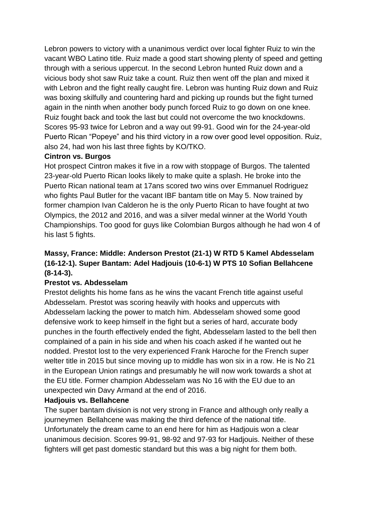Lebron powers to victory with a unanimous verdict over local fighter Ruiz to win the vacant WBO Latino title. Ruiz made a good start showing plenty of speed and getting through with a serious uppercut. In the second Lebron hunted Ruiz down and a vicious body shot saw Ruiz take a count. Ruiz then went off the plan and mixed it with Lebron and the fight really caught fire. Lebron was hunting Ruiz down and Ruiz was boxing skilfully and countering hard and picking up rounds but the fight turned again in the ninth when another body punch forced Ruiz to go down on one knee. Ruiz fought back and took the last but could not overcome the two knockdowns. Scores 95-93 twice for Lebron and a way out 99-91. Good win for the 24-year-old Puerto Rican "Popeye" and his third victory in a row over good level opposition. Ruiz, also 24, had won his last three fights by KO/TKO.

### **Cintron vs. Burgos**

Hot prospect Cintron makes it five in a row with stoppage of Burgos. The talented 23-year-old Puerto Rican looks likely to make quite a splash. He broke into the Puerto Rican national team at 17ans scored two wins over Emmanuel Rodriguez who fights Paul Butler for the vacant IBF bantam title on May 5. Now trained by former champion Ivan Calderon he is the only Puerto Rican to have fought at two Olympics, the 2012 and 2016, and was a silver medal winner at the World Youth Championships. Too good for guys like Colombian Burgos although he had won 4 of his last 5 fights.

### **Massy, France: Middle: Anderson Prestot (21-1) W RTD 5 Kamel Abdesselam (16-12-1). Super Bantam: Adel Hadjouis (10-6-1) W PTS 10 Sofian Bellahcene (8-14-3).**

### **Prestot vs. Abdesselam**

Prestot delights his home fans as he wins the vacant French title against useful Abdesselam. Prestot was scoring heavily with hooks and uppercuts with Abdesselam lacking the power to match him. Abdesselam showed some good defensive work to keep himself in the fight but a series of hard, accurate body punches in the fourth effectively ended the fight, Abdesselam lasted to the bell then complained of a pain in his side and when his coach asked if he wanted out he nodded. Prestot lost to the very experienced Frank Haroche for the French super welter title in 2015 but since moving up to middle has won six in a row. He is No 21 in the European Union ratings and presumably he will now work towards a shot at the EU title. Former champion Abdesselam was No 16 with the EU due to an unexpected win Davy Armand at the end of 2016.

### **Hadjouis vs. Bellahcene**

The super bantam division is not very strong in France and although only really a journeymen Bellahcene was making the third defence of the national title. Unfortunately the dream came to an end here for him as Hadjouis won a clear unanimous decision. Scores 99-91, 98-92 and 97-93 for Hadjouis. Neither of these fighters will get past domestic standard but this was a big night for them both.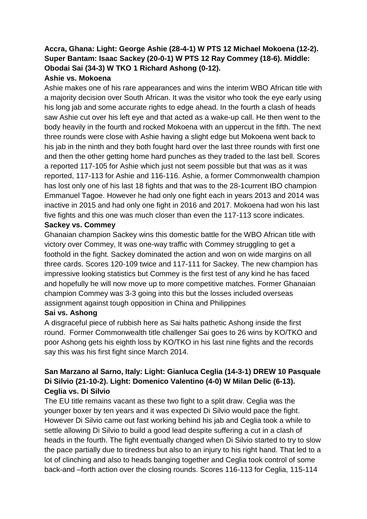# **Accra, Ghana: Light: George Ashie (28-4-1) W PTS 12 Michael Mokoena (12-2). Super Bantam: Isaac Sackey (20-0-1) W PTS 12 Ray Commey (18-6). Middle: Obodai Sai (34-3) W TKO 1 Richard Ashong (0-12).**

### **Ashie vs. Mokoena**

Ashie makes one of his rare appearances and wins the interim WBO African title with a majority decision over South African. It was the visitor who took the eye early using his long jab and some accurate rights to edge ahead. In the fourth a clash of heads saw Ashie cut over his left eye and that acted as a wake-up call. He then went to the body heavily in the fourth and rocked Mokoena with an uppercut in the fifth. The next three rounds were close with Ashie having a slight edge but Mokoena went back to his jab in the ninth and they both fought hard over the last three rounds with first one and then the other getting home hard punches as they traded to the last bell. Scores a reported 117-105 for Ashie which just not seem possible but that was as it was reported, 117-113 for Ashie and 116-116. Ashie, a former Commonwealth champion has lost only one of his last 18 fights and that was to the 28-1current IBO champion Emmanuel Tagoe. However he had only one fight each in years 2013 and 2014 was inactive in 2015 and had only one fight in 2016 and 2017. Mokoena had won his last five fights and this one was much closer than even the 117-113 score indicates.

# **Sackey vs. Commey**

Ghanaian champion Sackey wins this domestic battle for the WBO African title with victory over Commey, It was one-way traffic with Commey struggling to get a foothold in the fight. Sackey dominated the action and won on wide margins on all three cards. Scores 120-109 twice and 117-111 for Sackey. The new champion has impressive looking statistics but Commey is the first test of any kind he has faced and hopefully he will now move up to more competitive matches. Former Ghanaian champion Commey was 3-3 going into this but the losses included overseas assignment against tough opposition in China and Philippines

### **Sai vs. Ashong**

A disgraceful piece of rubbish here as Sai halts pathetic Ashong inside the first round. Former Commonwealth title challenger Sai goes to 26 wins by KO/TKO and poor Ashong gets his eighth loss by KO/TKO in his last nine fights and the records say this was his first fight since March 2014.

### **San Marzano al Sarno, Italy: Light: Gianluca Ceglia (14-3-1) DREW 10 Pasquale Di Silvio (21-10-2). Light: Domenico Valentino (4-0) W Milan Delic (6-13). Ceglia vs. Di Silvio**

The EU title remains vacant as these two fight to a split draw. Ceglia was the younger boxer by ten years and it was expected Di Silvio would pace the fight. However Di Silvio came out fast working behind his jab and Ceglia took a while to settle allowing Di Silvio to build a good lead despite suffering a cut in a clash of heads in the fourth. The fight eventually changed when Di Silvio started to try to slow the pace partially due to tiredness but also to an injury to his right hand. That led to a lot of clinching and also to heads banging together and Ceglia took control of some back-and –forth action over the closing rounds. Scores 116-113 for Ceglia, 115-114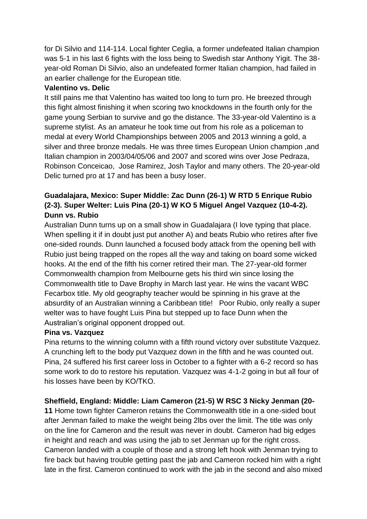for Di Silvio and 114-114. Local fighter Ceglia, a former undefeated Italian champion was 5-1 in his last 6 fights with the loss being to Swedish star Anthony Yigit. The 38 year-old Roman Di Silvio, also an undefeated former Italian champion, had failed in an earlier challenge for the European title.

### **Valentino vs. Delic**

It still pains me that Valentino has waited too long to turn pro. He breezed through this fight almost finishing it when scoring two knockdowns in the fourth only for the game young Serbian to survive and go the distance. The 33-year-old Valentino is a supreme stylist. As an amateur he took time out from his role as a policeman to medal at every World Championships between 2005 and 2013 winning a gold, a silver and three bronze medals. He was three times European Union champion ,and Italian champion in 2003/04/05/06 and 2007 and scored wins over Jose Pedraza, Robinson Conceicao, Jose Ramirez, Josh Taylor and many others. The 20-year-old Delic turned pro at 17 and has been a busy loser.

# **Guadalajara, Mexico: Super Middle: Zac Dunn (26-1) W RTD 5 Enrique Rubio (2-3). Super Welter: Luis Pina (20-1) W KO 5 Miguel Angel Vazquez (10-4-2). Dunn vs. Rubio**

Australian Dunn turns up on a small show in Guadalajara (I love typing that place. When spelling it if in doubt just put another A) and beats Rubio who retires after five one-sided rounds. Dunn launched a focused body attack from the opening bell with Rubio just being trapped on the ropes all the way and taking on board some wicked hooks. At the end of the fifth his corner retired their man. The 27-year-old former Commonwealth champion from Melbourne gets his third win since losing the Commonwealth title to Dave Brophy in March last year. He wins the vacant WBC Fecarbox title. My old geography teacher would be spinning in his grave at the absurdity of an Australian winning a Caribbean title! Poor Rubio, only really a super welter was to have fought Luis Pina but stepped up to face Dunn when the Australian's original opponent dropped out.

### **Pina vs. Vazquez**

Pina returns to the winning column with a fifth round victory over substitute Vazquez. A crunching left to the body put Vazquez down in the fifth and he was counted out. Pina, 24 suffered his first career loss in October to a fighter with a 6-2 record so has some work to do to restore his reputation. Vazquez was 4-1-2 going in but all four of his losses have been by KO/TKO.

### **Sheffield, England: Middle: Liam Cameron (21-5) W RSC 3 Nicky Jenman (20-**

**11** Home town fighter Cameron retains the Commonwealth title in a one-sided bout after Jenman failed to make the weight being 2lbs over the limit. The title was only on the line for Cameron and the result was never in doubt. Cameron had big edges in height and reach and was using the jab to set Jenman up for the right cross. Cameron landed with a couple of those and a strong left hook with Jenman trying to fire back but having trouble getting past the jab and Cameron rocked him with a right late in the first. Cameron continued to work with the jab in the second and also mixed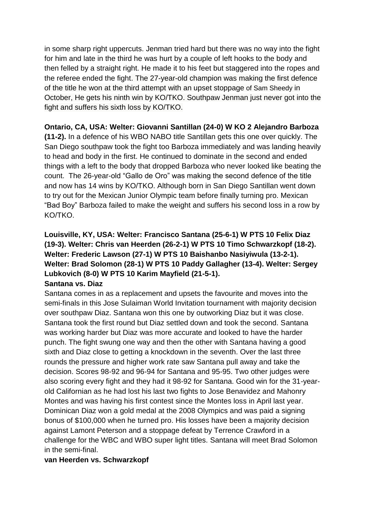in some sharp right uppercuts. Jenman tried hard but there was no way into the fight for him and late in the third he was hurt by a couple of left hooks to the body and then felled by a straight right. He made it to his feet but staggered into the ropes and the referee ended the fight. The 27-year-old champion was making the first defence of the title he won at the third attempt with an upset stoppage of Sam Sheedy in October, He gets his ninth win by KO/TKO. Southpaw Jenman just never got into the fight and suffers his sixth loss by KO/TKO.

### **Ontario, CA, USA: Welter: Giovanni Santillan (24-0) W KO 2 Alejandro Barboza**

**(11-2).** In a defence of his WBO NABO title Santillan gets this one over quickly. The San Diego southpaw took the fight too Barboza immediately and was landing heavily to head and body in the first. He continued to dominate in the second and ended things with a left to the body that dropped Barboza who never looked like beating the count. The 26-year-old "Gallo de Oro" was making the second defence of the title and now has 14 wins by KO/TKO. Although born in San Diego Santillan went down to try out for the Mexican Junior Olympic team before finally turning pro. Mexican "Bad Boy" Barboza failed to make the weight and suffers his second loss in a row by KO/TKO.

### **Louisville, KY, USA: Welter: Francisco Santana (25-6-1) W PTS 10 Felix Diaz (19-3). Welter: Chris van Heerden (26-2-1) W PTS 10 Timo Schwarzkopf (18-2). Welter: Frederic Lawson (27-1) W PTS 10 Baishanbo Nasiyiwula (13-2-1). Welter: Brad Solomon (28-1) W PTS 10 Paddy Gallagher (13-4). Welter: Sergey Lubkovich (8-0) W PTS 10 Karim Mayfield (21-5-1). Santana vs. Diaz**

Santana comes in as a replacement and upsets the favourite and moves into the semi-finals in this Jose Sulaiman World Invitation tournament with majority decision over southpaw Diaz. Santana won this one by outworking Diaz but it was close. Santana took the first round but Diaz settled down and took the second. Santana was working harder but Diaz was more accurate and looked to have the harder punch. The fight swung one way and then the other with Santana having a good sixth and Diaz close to getting a knockdown in the seventh. Over the last three rounds the pressure and higher work rate saw Santana pull away and take the decision. Scores 98-92 and 96-94 for Santana and 95-95. Two other judges were also scoring every fight and they had it 98-92 for Santana. Good win for the 31-yearold Californian as he had lost his last two fights to Jose Benavidez and Mahonry Montes and was having his first contest since the Montes loss in April last year. Dominican Diaz won a gold medal at the 2008 Olympics and was paid a signing bonus of \$100,000 when he turned pro. His losses have been a majority decision against Lamont Peterson and a stoppage defeat by Terrence Crawford in a challenge for the WBC and WBO super light titles. Santana will meet Brad Solomon in the semi-final.

#### **van Heerden vs. Schwarzkopf**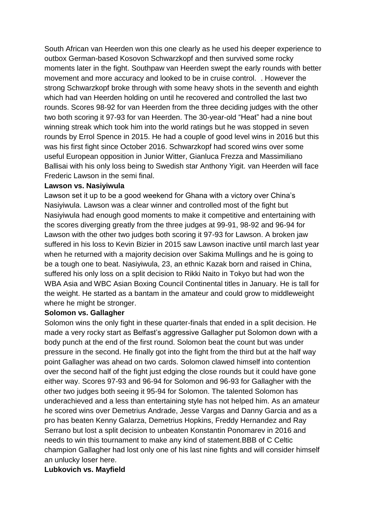South African van Heerden won this one clearly as he used his deeper experience to outbox German-based Kosovon Schwarzkopf and then survived some rocky moments later in the fight. Southpaw van Heerden swept the early rounds with better movement and more accuracy and looked to be in cruise control. . However the strong Schwarzkopf broke through with some heavy shots in the seventh and eighth which had van Heerden holding on until he recovered and controlled the last two rounds. Scores 98-92 for van Heerden from the three deciding judges with the other two both scoring it 97-93 for van Heerden. The 30-year-old "Heat" had a nine bout winning streak which took him into the world ratings but he was stopped in seven rounds by Errol Spence in 2015. He had a couple of good level wins in 2016 but this was his first fight since October 2016. Schwarzkopf had scored wins over some useful European opposition in Junior Witter, Gianluca Frezza and Massimiliano Ballisai with his only loss being to Swedish star Anthony Yigit. van Heerden will face Frederic Lawson in the semi final.

#### **Lawson vs. Nasiyiwula**

Lawson set it up to be a good weekend for Ghana with a victory over China's Nasiyiwula. Lawson was a clear winner and controlled most of the fight but Nasiyiwula had enough good moments to make it competitive and entertaining with the scores diverging greatly from the three judges at 99-91, 98-92 and 96-94 for Lawson with the other two judges both scoring it 97-93 for Lawson. A broken jaw suffered in his loss to Kevin Bizier in 2015 saw Lawson inactive until march last year when he returned with a majority decision over Sakima Mullings and he is going to be a tough one to beat. Nasiyiwula, 23, an ethnic Kazak born and raised in China, suffered his only loss on a split decision to Rikki Naito in Tokyo but had won the WBA Asia and WBC Asian Boxing Council Continental titles in January. He is tall for the weight. He started as a bantam in the amateur and could grow to middleweight where he might be stronger.

#### **Solomon vs. Gallagher**

Solomon wins the only fight in these quarter-finals that ended in a split decision. He made a very rocky start as Belfast's aggressive Gallagher put Solomon down with a body punch at the end of the first round. Solomon beat the count but was under pressure in the second. He finally got into the fight from the third but at the half way point Gallagher was ahead on two cards. Solomon clawed himself into contention over the second half of the fight just edging the close rounds but it could have gone either way. Scores 97-93 and 96-94 for Solomon and 96-93 for Gallagher with the other two judges both seeing it 95-94 for Solomon. The talented Solomon has underachieved and a less than entertaining style has not helped him. As an amateur he scored wins over Demetrius Andrade, Jesse Vargas and Danny Garcia and as a pro has beaten Kenny Galarza, Demetrius Hopkins, Freddy Hernandez and Ray Serrano but lost a split decision to unbeaten Konstantin Ponomarev in 2016 and needs to win this tournament to make any kind of statement.BBB of C Celtic champion Gallagher had lost only one of his last nine fights and will consider himself an unlucky loser here.

### **Lubkovich vs. Mayfield**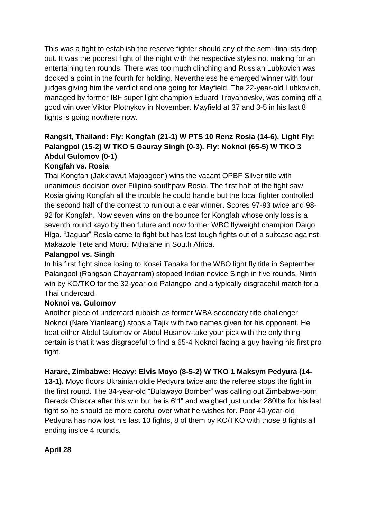This was a fight to establish the reserve fighter should any of the semi-finalists drop out. It was the poorest fight of the night with the respective styles not making for an entertaining ten rounds. There was too much clinching and Russian Lubkovich was docked a point in the fourth for holding. Nevertheless he emerged winner with four judges giving him the verdict and one going for Mayfield. The 22-year-old Lubkovich, managed by former IBF super light champion Eduard Troyanovsky, was coming off a good win over Viktor Plotnykov in November. Mayfield at 37 and 3-5 in his last 8 fights is going nowhere now.

# **Rangsit, Thailand: Fly: Kongfah (21-1) W PTS 10 Renz Rosia (14-6). Light Fly: Palangpol (15-2) W TKO 5 Gauray Singh (0-3). Fly: Noknoi (65-5) W TKO 3 Abdul Gulomov (0-1)**

### **Kongfah vs. Rosia**

Thai Kongfah (Jakkrawut Majoogoen) wins the vacant OPBF Silver title with unanimous decision over Filipino southpaw Rosia. The first half of the fight saw Rosia giving Kongfah all the trouble he could handle but the local fighter controlled the second half of the contest to run out a clear winner. Scores 97-93 twice and 98- 92 for Kongfah. Now seven wins on the bounce for Kongfah whose only loss is a seventh round kayo by then future and now former WBC flyweight champion Daigo Higa. "Jaguar" Rosia came to fight but has lost tough fights out of a suitcase against Makazole Tete and Moruti Mthalane in South Africa.

### **Palangpol vs. Singh**

In his first fight since losing to Kosei Tanaka for the WBO light fly title in September Palangpol (Rangsan Chayanram) stopped Indian novice Singh in five rounds. Ninth win by KO/TKO for the 32-year-old Palangpol and a typically disgraceful match for a Thai undercard.

### **Noknoi vs. Gulomov**

Another piece of undercard rubbish as former WBA secondary title challenger Noknoi (Nare Yianleang) stops a Tajik with two names given for his opponent. He beat either Abdul Gulomov or Abdul Rusmov-take your pick with the only thing certain is that it was disgraceful to find a 65-4 Noknoi facing a guy having his first pro fight.

### **Harare, Zimbabwe: Heavy: Elvis Moyo (8-5-2) W TKO 1 Maksym Pedyura (14-**

**13-1).** Moyo floors Ukrainian oldie Pedyura twice and the referee stops the fight in the first round. The 34-year-old "Bulawayo Bomber" was calling out Zimbabwe-born Dereck Chisora after this win but he is 6'1" and weighed just under 280lbs for his last fight so he should be more careful over what he wishes for. Poor 40-year-old Pedyura has now lost his last 10 fights, 8 of them by KO/TKO with those 8 fights all ending inside 4 rounds.

### **April 28**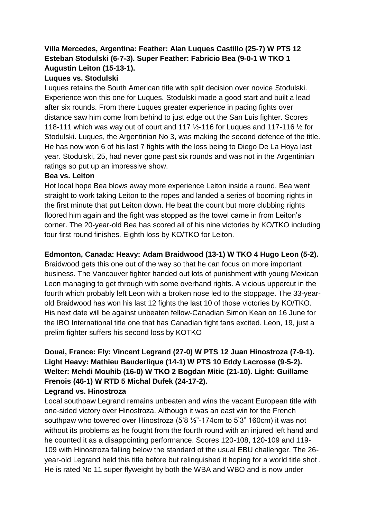### **Villa Mercedes, Argentina: Feather: Alan Luques Castillo (25-7) W PTS 12 Esteban Stodulski (6-7-3). Super Feather: Fabricio Bea (9-0-1 W TKO 1 Augustin Leiton (15-13-1).**

### **Luques vs. Stodulski**

Luques retains the South American title with split decision over novice Stodulski. Experience won this one for Luques. Stodulski made a good start and built a lead after six rounds. From there Luques greater experience in pacing fights over distance saw him come from behind to just edge out the San Luis fighter. Scores 118-111 which was way out of court and 117 ½-116 for Luques and 117-116 ½ for Stodulski. Luques, the Argentinian No 3, was making the second defence of the title. He has now won 6 of his last 7 fights with the loss being to Diego De La Hoya last year. Stodulski, 25, had never gone past six rounds and was not in the Argentinian ratings so put up an impressive show.

### **Bea vs. Leiton**

Hot local hope Bea blows away more experience Leiton inside a round. Bea went straight to work taking Leiton to the ropes and landed a series of booming rights in the first minute that put Leiton down. He beat the count but more clubbing rights floored him again and the fight was stopped as the towel came in from Leiton's corner. The 20-year-old Bea has scored all of his nine victories by KO/TKO including four first round finishes. Eighth loss by KO/TKO for Leiton.

### **Edmonton, Canada: Heavy: Adam Braidwood (13-1) W TKO 4 Hugo Leon (5-2).**

Braidwood gets this one out of the way so that he can focus on more important business. The Vancouver fighter handed out lots of punishment with young Mexican Leon managing to get through with some overhand rights. A vicious uppercut in the fourth which probably left Leon with a broken nose led to the stoppage. The 33-yearold Braidwood has won his last 12 fights the last 10 of those victories by KO/TKO. His next date will be against unbeaten fellow-Canadian Simon Kean on 16 June for the IBO International title one that has Canadian fight fans excited. Leon, 19, just a prelim fighter suffers his second loss by KOTKO

### **Douai, France: Fly: Vincent Legrand (27-0) W PTS 12 Juan Hinostroza (7-9-1). Light Heavy: Mathieu Bauderlique (14-1) W PTS 10 Eddy Lacrosse (9-5-2). Welter: Mehdi Mouhib (16-0) W TKO 2 Bogdan Mitic (21-10). Light: Guillame Frenois (46-1) W RTD 5 Michal Dufek (24-17-2). Legrand vs. Hinostroza**

Local southpaw Legrand remains unbeaten and wins the vacant European title with one-sided victory over Hinostroza. Although it was an east win for the French southpaw who towered over Hinostroza (5'8 ½"-174cm to 5'3" 160cm) it was not without its problems as he fought from the fourth round with an injured left hand and he counted it as a disappointing performance. Scores 120-108, 120-109 and 119- 109 with Hinostroza falling below the standard of the usual EBU challenger. The 26 year-old Legrand held this title before but relinquished it hoping for a world title shot . He is rated No 11 super flyweight by both the WBA and WBO and is now under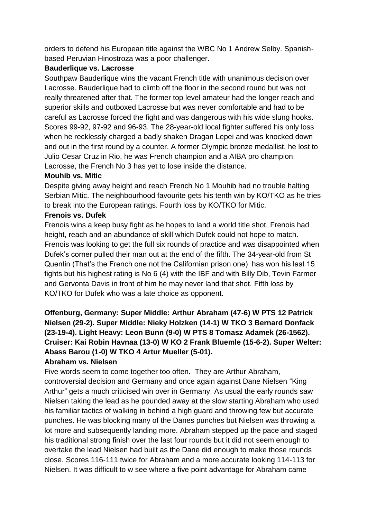orders to defend his European title against the WBC No 1 Andrew Selby. Spanishbased Peruvian Hinostroza was a poor challenger.

#### **Bauderlique vs. Lacrosse**

Southpaw Bauderlique wins the vacant French title with unanimous decision over Lacrosse. Bauderlique had to climb off the floor in the second round but was not really threatened after that. The former top level amateur had the longer reach and superior skills and outboxed Lacrosse but was never comfortable and had to be careful as Lacrosse forced the fight and was dangerous with his wide slung hooks. Scores 99-92, 97-92 and 96-93. The 28-year-old local fighter suffered his only loss when he recklessly charged a badly shaken Dragan Lepei and was knocked down and out in the first round by a counter. A former Olympic bronze medallist, he lost to Julio Cesar Cruz in Rio, he was French champion and a AIBA pro champion. Lacrosse, the French No 3 has yet to lose inside the distance.

### **Mouhib vs. Mitic**

Despite giving away height and reach French No 1 Mouhib had no trouble halting Serbian Mitic. The neighbourhood favourite gets his tenth win by KO/TKO as he tries to break into the European ratings. Fourth loss by KO/TKO for Mitic.

### **Frenois vs. Dufek**

Frenois wins a keep busy fight as he hopes to land a world title shot. Frenois had height, reach and an abundance of skill which Dufek could not hope to match. Frenois was looking to get the full six rounds of practice and was disappointed when Dufek's corner pulled their man out at the end of the fifth. The 34-year-old from St Quentin (That's the French one not the Californian prison one) has won his last 15 fights but his highest rating is No 6 (4) with the IBF and with Billy Dib, Tevin Farmer and Gervonta Davis in front of him he may never land that shot. Fifth loss by KO/TKO for Dufek who was a late choice as opponent.

# **Offenburg, Germany: Super Middle: Arthur Abraham (47-6) W PTS 12 Patrick Nielsen (29-2). Super Middle: Nieky Holzken (14-1) W TKO 3 Bernard Donfack (23-19-4). Light Heavy: Leon Bunn (9-0) W PTS 8 Tomasz Adamek (26-1562). Cruiser: Kai Robin Havnaa (13-0) W KO 2 Frank Bluemle (15-6-2). Super Welter: Abass Barou (1-0) W TKO 4 Artur Mueller (5-01).**

### **Abraham vs. Nielsen**

Five words seem to come together too often. They are Arthur Abraham, controversial decision and Germany and once again against Dane Nielsen "King Arthur" gets a much criticised win over in Germany. As usual the early rounds saw Nielsen taking the lead as he pounded away at the slow starting Abraham who used his familiar tactics of walking in behind a high guard and throwing few but accurate punches. He was blocking many of the Danes punches but Nielsen was throwing a lot more and subsequently landing more. Abraham stepped up the pace and staged his traditional strong finish over the last four rounds but it did not seem enough to overtake the lead Nielsen had built as the Dane did enough to make those rounds close. Scores 116-111 twice for Abraham and a more accurate looking 114-113 for Nielsen. It was difficult to w see where a five point advantage for Abraham came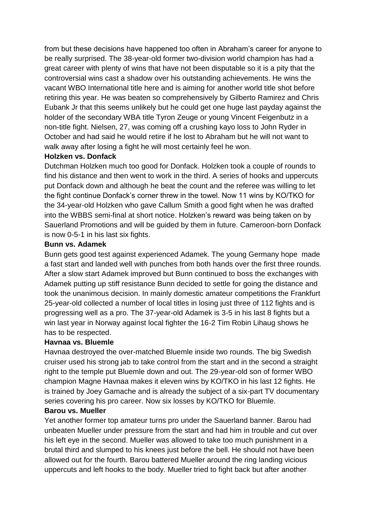from but these decisions have happened too often in Abraham's career for anyone to be really surprised. The 38-year-old former two-division world champion has had a great career with plenty of wins that have not been disputable so it is a pity that the controversial wins cast a shadow over his outstanding achievements. He wins the vacant WBO International title here and is aiming for another world title shot before retiring this year. He was beaten so comprehensively by Gilberto Ramirez and Chris Eubank Jr that this seems unlikely but he could get one huge last payday against the holder of the secondary WBA title Tyron Zeuge or young Vincent Feigenbutz in a non-title fight. Nielsen, 27, was coming off a crushing kayo loss to John Ryder in October and had said he would retire if he lost to Abraham but he will not want to walk away after losing a fight he will most certainly feel he won.

#### **Holzken vs. Donfack**

Dutchman Holzken much too good for Donfack. Holzken took a couple of rounds to find his distance and then went to work in the third. A series of hooks and uppercuts put Donfack down and although he beat the count and the referee was willing to let the fight continue Donfack's corner threw in the towel. Now 11 wins by KO/TKO for the 34-year-old Holzken who gave Callum Smith a good fight when he was drafted into the WBBS semi-final at short notice. Holzken's reward was being taken on by Sauerland Promotions and will be guided by them in future. Cameroon-born Donfack is now 0-5-1 in his last six fights.

#### **Bunn vs. Adamek**

Bunn gets good test against experienced Adamek. The young Germany hope made a fast start and landed well with punches from both hands over the first three rounds. After a slow start Adamek improved but Bunn continued to boss the exchanges with Adamek putting up stiff resistance Bunn decided to settle for going the distance and took the unanimous decision. In mainly domestic amateur competitions the Frankfurt 25-year-old collected a number of local titles in losing just three of 112 fights and is progressing well as a pro. The 37-year-old Adamek is 3-5 in his last 8 fights but a win last year in Norway against local fighter the 16-2 Tim Robin Lihaug shows he has to be respected.

### **Havnaa vs. Bluemle**

Havnaa destroyed the over-matched Bluemle inside two rounds. The big Swedish cruiser used his strong jab to take control from the start and in the second a straight right to the temple put Bluemle down and out. The 29-year-old son of former WBO champion Magne Havnaa makes it eleven wins by KO/TKO in his last 12 fights. He is trained by Joey Gamache and is already the subject of a six-part TV documentary series covering his pro career. Now six losses by KO/TKO for Bluemle.

#### **Barou vs. Mueller**

Yet another former top amateur turns pro under the Sauerland banner. Barou had unbeaten Mueller under pressure from the start and had him in trouble and cut over his left eye in the second. Mueller was allowed to take too much punishment in a brutal third and slumped to his knees just before the bell. He should not have been allowed out for the fourth. Barou battered Mueller around the ring landing vicious uppercuts and left hooks to the body. Mueller tried to fight back but after another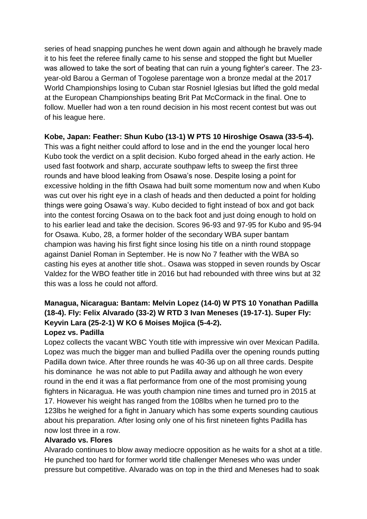series of head snapping punches he went down again and although he bravely made it to his feet the referee finally came to his sense and stopped the fight but Mueller was allowed to take the sort of beating that can ruin a young fighter's career. The 23 year-old Barou a German of Togolese parentage won a bronze medal at the 2017 World Championships losing to Cuban star Rosniel Iglesias but lifted the gold medal at the European Championships beating Brit Pat McCormack in the final. One to follow. Mueller had won a ten round decision in his most recent contest but was out of his league here.

### **Kobe, Japan: Feather: Shun Kubo (13-1) W PTS 10 Hiroshige Osawa (33-5-4).**

This was a fight neither could afford to lose and in the end the younger local hero Kubo took the verdict on a split decision. Kubo forged ahead in the early action. He used fast footwork and sharp, accurate southpaw lefts to sweep the first three rounds and have blood leaking from Osawa's nose. Despite losing a point for excessive holding in the fifth Osawa had built some momentum now and when Kubo was cut over his right eye in a clash of heads and then deducted a point for holding things were going Osawa's way. Kubo decided to fight instead of box and got back into the contest forcing Osawa on to the back foot and just doing enough to hold on to his earlier lead and take the decision. Scores 96-93 and 97-95 for Kubo and 95-94 for Osawa. Kubo, 28, a former holder of the secondary WBA super bantam champion was having his first fight since losing his title on a ninth round stoppage against Daniel Roman in September. He is now No 7 feather with the WBA so casting his eyes at another title shot.. Osawa was stopped in seven rounds by Oscar Valdez for the WBO feather title in 2016 but had rebounded with three wins but at 32 this was a loss he could not afford.

# **Managua, Nicaragua: Bantam: Melvin Lopez (14-0) W PTS 10 Yonathan Padilla (18-4). Fly: Felix Alvarado (33-2) W RTD 3 Ivan Meneses (19-17-1). Super Fly: Keyvin Lara (25-2-1) W KO 6 Moises Mojica (5-4-2).**

### **Lopez vs. Padilla**

Lopez collects the vacant WBC Youth title with impressive win over Mexican Padilla. Lopez was much the bigger man and bullied Padilla over the opening rounds putting Padilla down twice. After three rounds he was 40-36 up on all three cards. Despite his dominance he was not able to put Padilla away and although he won every round in the end it was a flat performance from one of the most promising young fighters in Nicaragua. He was youth champion nine times and turned pro in 2015 at 17. However his weight has ranged from the 108lbs when he turned pro to the 123lbs he weighed for a fight in January which has some experts sounding cautious about his preparation. After losing only one of his first nineteen fights Padilla has now lost three in a row.

### **Alvarado vs. Flores**

Alvarado continues to blow away mediocre opposition as he waits for a shot at a title. He punched too hard for former world title challenger Meneses who was under pressure but competitive. Alvarado was on top in the third and Meneses had to soak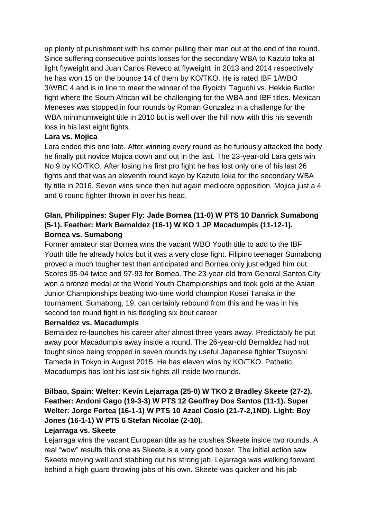up plenty of punishment with his corner pulling their man out at the end of the round. Since suffering consecutive points losses for the secondary WBA to Kazuto Ioka at light flyweight and Juan Carlos Reveco at flyweight in 2013 and 2014 respectively he has won 15 on the bounce 14 of them by KO/TKO. He is rated IBF 1/WBO 3/WBC 4 and is in line to meet the winner of the Ryoichi Taguchi vs. Hekkie Budler fight where the South African will be challenging for the WBA and IBF titles. Mexican Meneses was stopped in four rounds by Roman Gonzalez in a challenge for the WBA minimumweight title in 2010 but is well over the hill now with this his seventh loss in his last eight fights.

### **Lara vs. Mojica**

Lara ended this one late. After winning every round as he furiously attacked the body he finally put novice Mojica down and out in the last. The 23-year-old Lara gets win No 9 by KO/TKO. After losing his first pro fight he has lost only one of his last 26 fights and that was an eleventh round kayo by Kazuto Ioka for the secondary WBA fly title in 2016. Seven wins since then but again mediocre opposition. Mojica just a 4 and 6 round fighter thrown in over his head.

### **Glan, Philippines: Super Fly: Jade Bornea (11-0) W PTS 10 Danrick Sumabong (5-1). Feather: Mark Bernaldez (16-1) W KO 1 JP Macadumpis (11-12-1). Bornea vs. Sumabong**

Former amateur star Bornea wins the vacant WBO Youth title to add to the IBF Youth title he already holds but it was a very close fight. Filipino teenager Sumabong proved a much tougher test than anticipated and Bornea only just edged him out. Scores 95-94 twice and 97-93 for Bornea. The 23-year-old from General Santos City won a bronze medal at the World Youth Championships and took gold at the Asian Junior Championships beating two-time world champion Kosei Tanaka in the tournament. Sumabong, 19, can certainly rebound from this and he was in his second ten round fight in his fledgling six bout career.

### **Bernaldez vs. Macadumpis**

Bernaldez re-launches his career after almost three years away. Predictably he put away poor Macadumpis away inside a round. The 26-year-old Bernaldez had not fought since being stopped in seven rounds by useful Japanese fighter Tsuyoshi Tameda in Tokyo in August 2015. He has eleven wins by KO/TKO. Pathetic Macadumpis has lost his last six fights all inside two rounds.

# **Bilbao, Spain: Welter: Kevin Lejarraga (25-0) W TKO 2 Bradley Skeete (27-2). Feather: Andoni Gago (19-3-3) W PTS 12 Geoffrey Dos Santos (11-1). Super Welter: Jorge Fortea (16-1-1) W PTS 10 Azael Cosio (21-7-2,1ND). Light: Boy Jones (16-1-1) W PTS 6 Stefan Nicolae (2-10).**

### **Lejarraga vs. Skeete**

Lejarraga wins the vacant European title as he crushes Skeete inside two rounds. A real "wow" results this one as Skeete is a very good boxer. The initial action saw Skeete moving well and stabbing out his strong jab. Lejarraga was walking forward behind a high guard throwing jabs of his own. Skeete was quicker and his jab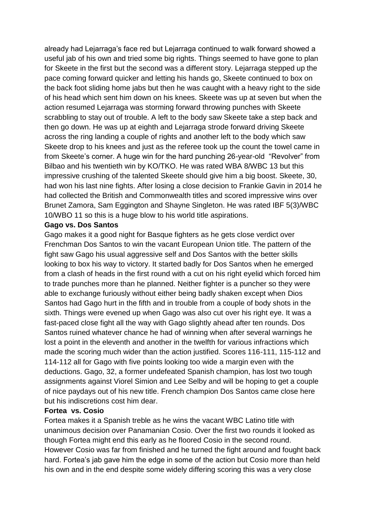already had Lejarraga's face red but Lejarraga continued to walk forward showed a useful jab of his own and tried some big rights. Things seemed to have gone to plan for Skeete in the first but the second was a different story. Lejarraga stepped up the pace coming forward quicker and letting his hands go, Skeete continued to box on the back foot sliding home jabs but then he was caught with a heavy right to the side of his head which sent him down on his knees. Skeete was up at seven but when the action resumed Lejarraga was storming forward throwing punches with Skeete scrabbling to stay out of trouble. A left to the body saw Skeete take a step back and then go down. He was up at eighth and Lejarraga strode forward driving Skeete across the ring landing a couple of rights and another left to the body which saw Skeete drop to his knees and just as the referee took up the count the towel came in from Skeete's corner. A huge win for the hard punching 26-year-old "Revolver" from Bilbao and his twentieth win by KO/TKO. He was rated WBA 8/WBC 13 but this impressive crushing of the talented Skeete should give him a big boost. Skeete, 30, had won his last nine fights. After losing a close decision to Frankie Gavin in 2014 he had collected the British and Commonwealth titles and scored impressive wins over Brunet Zamora, Sam Eggington and Shayne Singleton. He was rated IBF 5(3)/WBC 10/WBO 11 so this is a huge blow to his world title aspirations.

#### **Gago vs. Dos Santos**

Gago makes it a good night for Basque fighters as he gets close verdict over Frenchman Dos Santos to win the vacant European Union title. The pattern of the fight saw Gago his usual aggressive self and Dos Santos with the better skills looking to box his way to victory. It started badly for Dos Santos when he emerged from a clash of heads in the first round with a cut on his right eyelid which forced him to trade punches more than he planned. Neither fighter is a puncher so they were able to exchange furiously without either being badly shaken except when Dios Santos had Gago hurt in the fifth and in trouble from a couple of body shots in the sixth. Things were evened up when Gago was also cut over his right eye. It was a fast-paced close fight all the way with Gago slightly ahead after ten rounds. Dos Santos ruined whatever chance he had of winning when after several warnings he lost a point in the eleventh and another in the twelfth for various infractions which made the scoring much wider than the action justified. Scores 116-111, 115-112 and 114-112 all for Gago with five points looking too wide a margin even with the deductions. Gago, 32, a former undefeated Spanish champion, has lost two tough assignments against Viorel Simion and Lee Selby and will be hoping to get a couple of nice paydays out of his new title. French champion Dos Santos came close here but his indiscretions cost him dear.

#### **Fortea vs. Cosio**

Fortea makes it a Spanish treble as he wins the vacant WBC Latino title with unanimous decision over Panamanian Cosio. Over the first two rounds it looked as though Fortea might end this early as he floored Cosio in the second round. However Cosio was far from finished and he turned the fight around and fought back hard. Fortea's jab gave him the edge in some of the action but Cosio more than held his own and in the end despite some widely differing scoring this was a very close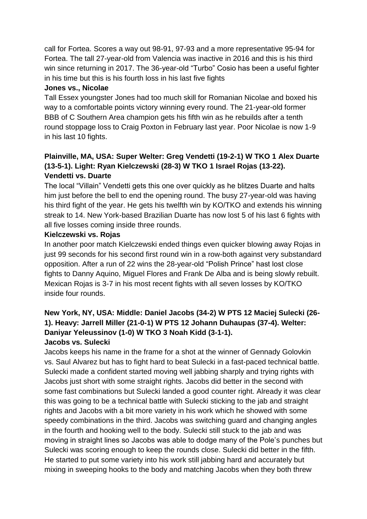call for Fortea. Scores a way out 98-91, 97-93 and a more representative 95-94 for Fortea. The tall 27-year-old from Valencia was inactive in 2016 and this is his third win since returning in 2017. The 36-year-old "Turbo" Cosio has been a useful fighter in his time but this is his fourth loss in his last five fights

#### **Jones vs., Nicolae**

Tall Essex youngster Jones had too much skill for Romanian Nicolae and boxed his way to a comfortable points victory winning every round. The 21-year-old former BBB of C Southern Area champion gets his fifth win as he rebuilds after a tenth round stoppage loss to Craig Poxton in February last year. Poor Nicolae is now 1-9 in his last 10 fights.

### **Plainville, MA, USA: Super Welter: Greg Vendetti (19-2-1) W TKO 1 Alex Duarte (13-5-1). Light: Ryan Kielczewski (28-3) W TKO 1 Israel Rojas (13-22). Vendetti vs. Duarte**

The local "Villain" Vendetti gets this one over quickly as he blitzes Duarte and halts him just before the bell to end the opening round. The busy 27-year-old was having his third fight of the year. He gets his twelfth win by KO/TKO and extends his winning streak to 14. New York-based Brazilian Duarte has now lost 5 of his last 6 fights with all five losses coming inside three rounds.

### **Kielczewski vs. Rojas**

In another poor match Kielczewski ended things even quicker blowing away Rojas in just 99 seconds for his second first round win in a row-both against very substandard opposition. After a run of 22 wins the 28-year-old "Polish Prince" hast lost close fights to Danny Aquino, Miguel Flores and Frank De Alba and is being slowly rebuilt. Mexican Rojas is 3-7 in his most recent fights with all seven losses by KO/TKO inside four rounds.

### **New York, NY, USA: Middle: Daniel Jacobs (34-2) W PTS 12 Maciej Sulecki (26- 1). Heavy: Jarrell Miller (21-0-1) W PTS 12 Johann Duhaupas (37-4). Welter: Daniyar Yeleussinov (1-0) W TKO 3 Noah Kidd (3-1-1). Jacobs vs. Sulecki**

Jacobs keeps his name in the frame for a shot at the winner of Gennady Golovkin vs. Saul Alvarez but has to fight hard to beat Sulecki in a fast-paced technical battle. Sulecki made a confident started moving well jabbing sharply and trying rights with Jacobs just short with some straight rights. Jacobs did better in the second with some fast combinations but Sulecki landed a good counter right. Already it was clear this was going to be a technical battle with Sulecki sticking to the jab and straight rights and Jacobs with a bit more variety in his work which he showed with some speedy combinations in the third. Jacobs was switching guard and changing angles in the fourth and hooking well to the body. Sulecki still stuck to the jab and was moving in straight lines so Jacobs was able to dodge many of the Pole's punches but Sulecki was scoring enough to keep the rounds close. Sulecki did better in the fifth. He started to put some variety into his work still jabbing hard and accurately but mixing in sweeping hooks to the body and matching Jacobs when they both threw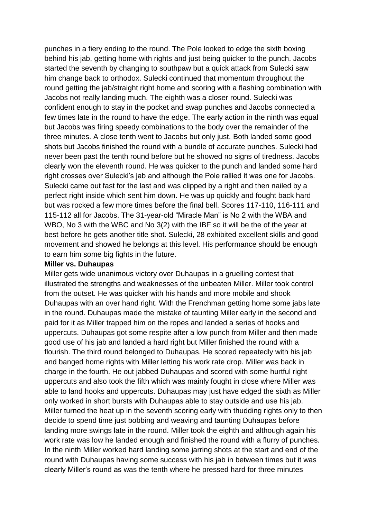punches in a fiery ending to the round. The Pole looked to edge the sixth boxing behind his jab, getting home with rights and just being quicker to the punch. Jacobs started the seventh by changing to southpaw but a quick attack from Sulecki saw him change back to orthodox. Sulecki continued that momentum throughout the round getting the jab/straight right home and scoring with a flashing combination with Jacobs not really landing much. The eighth was a closer round. Sulecki was confident enough to stay in the pocket and swap punches and Jacobs connected a few times late in the round to have the edge. The early action in the ninth was equal but Jacobs was firing speedy combinations to the body over the remainder of the three minutes. A close tenth went to Jacobs but only just. Both landed some good shots but Jacobs finished the round with a bundle of accurate punches. Sulecki had never been past the tenth round before but he showed no signs of tiredness. Jacobs clearly won the eleventh round. He was quicker to the punch and landed some hard right crosses over Sulecki's jab and although the Pole rallied it was one for Jacobs. Sulecki came out fast for the last and was clipped by a right and then nailed by a perfect right inside which sent him down. He was up quickly and fought back hard but was rocked a few more times before the final bell. Scores 117-110, 116-111 and 115-112 all for Jacobs. The 31-year-old "Miracle Man" is No 2 with the WBA and WBO, No 3 with the WBC and No 3(2) with the IBF so it will be the of the year at best before he gets another title shot. Sulecki, 28 exhibited excellent skills and good movement and showed he belongs at this level. His performance should be enough to earn him some big fights in the future.

#### **Miller vs. Duhaupas**

Miller gets wide unanimous victory over Duhaupas in a gruelling contest that illustrated the strengths and weaknesses of the unbeaten Miller. Miller took control from the outset. He was quicker with his hands and more mobile and shook Duhaupas with an over hand right. With the Frenchman getting home some jabs late in the round. Duhaupas made the mistake of taunting Miller early in the second and paid for it as Miller trapped him on the ropes and landed a series of hooks and uppercuts. Duhaupas got some respite after a low punch from Miller and then made good use of his jab and landed a hard right but Miller finished the round with a flourish. The third round belonged to Duhaupas. He scored repeatedly with his jab and banged home rights with Miller letting his work rate drop. Miller was back in charge in the fourth. He out jabbed Duhaupas and scored with some hurtful right uppercuts and also took the fifth which was mainly fought in close where Miller was able to land hooks and uppercuts. Duhaupas may just have edged the sixth as Miller only worked in short bursts with Duhaupas able to stay outside and use his jab. Miller turned the heat up in the seventh scoring early with thudding rights only to then decide to spend time just bobbing and weaving and taunting Duhaupas before landing more swings late in the round. Miller took the eighth and although again his work rate was low he landed enough and finished the round with a flurry of punches. In the ninth Miller worked hard landing some jarring shots at the start and end of the round with Duhaupas having some success with his jab in between times but it was clearly Miller's round as was the tenth where he pressed hard for three minutes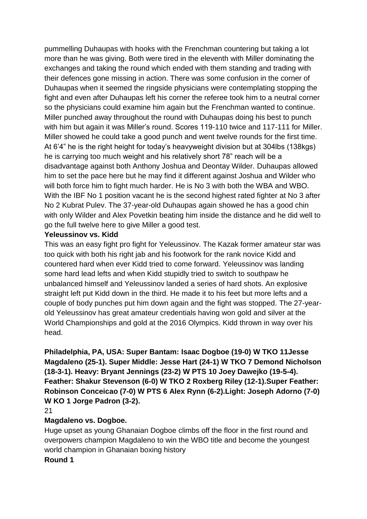pummelling Duhaupas with hooks with the Frenchman countering but taking a lot more than he was giving. Both were tired in the eleventh with Miller dominating the exchanges and taking the round which ended with them standing and trading with their defences gone missing in action. There was some confusion in the corner of Duhaupas when it seemed the ringside physicians were contemplating stopping the fight and even after Duhaupas left his corner the referee took him to a neutral corner so the physicians could examine him again but the Frenchman wanted to continue. Miller punched away throughout the round with Duhaupas doing his best to punch with him but again it was Miller's round. Scores 119-110 twice and 117-111 for Miller. Miller showed he could take a good punch and went twelve rounds for the first time. At 6'4" he is the right height for today's heavyweight division but at 304lbs (138kgs) he is carrying too much weight and his relatively short 78" reach will be a disadvantage against both Anthony Joshua and Deontay Wilder. Duhaupas allowed him to set the pace here but he may find it different against Joshua and Wilder who will both force him to fight much harder. He is No 3 with both the WBA and WBO. With the IBF No 1 position vacant he is the second highest rated fighter at No 3 after No 2 Kubrat Pulev. The 37-year-old Duhaupas again showed he has a good chin with only Wilder and Alex Povetkin beating him inside the distance and he did well to go the full twelve here to give Miller a good test.

#### **Yeleussinov vs. Kidd**

This was an easy fight pro fight for Yeleussinov. The Kazak former amateur star was too quick with both his right jab and his footwork for the rank novice Kidd and countered hard when ever Kidd tried to come forward. Yeleussinov was landing some hard lead lefts and when Kidd stupidly tried to switch to southpaw he unbalanced himself and Yeleussinov landed a series of hard shots. An explosive straight left put Kidd down in the third. He made it to his feet but more lefts and a couple of body punches put him down again and the fight was stopped. The 27-yearold Yeleussinov has great amateur credentials having won gold and silver at the World Championships and gold at the 2016 Olympics. Kidd thrown in way over his head.

**Philadelphia, PA, USA: Super Bantam: Isaac Dogboe (19-0) W TKO 11Jesse Magdaleno (25-1). Super Middle: Jesse Hart (24-1) W TKO 7 Demond Nicholson (18-3-1). Heavy: Bryant Jennings (23-2) W PTS 10 Joey Dawejko (19-5-4). Feather: Shakur Stevenson (6-0) W TKO 2 Roxberg Riley (12-1).Super Feather: Robinson Conceicao (7-0) W PTS 6 Alex Rynn (6-2).Light: Joseph Adorno (7-0) W KO 1 Jorge Padron (3-2).** 

#### 21

#### **Magdaleno vs. Dogboe.**

Huge upset as young Ghanaian Dogboe climbs off the floor in the first round and overpowers champion Magdaleno to win the WBO title and become the youngest world champion in Ghanaian boxing history

**Round 1**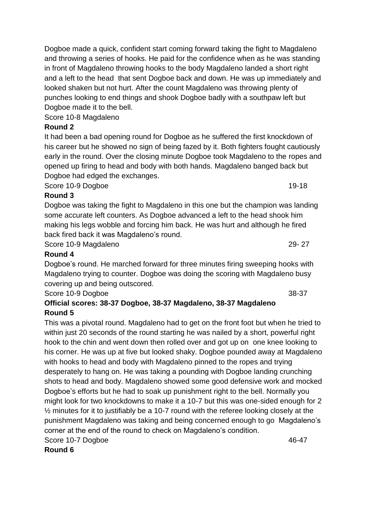Dogboe made a quick, confident start coming forward taking the fight to Magdaleno and throwing a series of hooks. He paid for the confidence when as he was standing in front of Magdaleno throwing hooks to the body Magdaleno landed a short right and a left to the head that sent Dogboe back and down. He was up immediately and looked shaken but not hurt. After the count Magdaleno was throwing plenty of punches looking to end things and shook Dogboe badly with a southpaw left but Dogboe made it to the bell.

Score 10-8 Magdaleno

# **Round 2**

It had been a bad opening round for Dogboe as he suffered the first knockdown of his career but he showed no sign of being fazed by it. Both fighters fought cautiously early in the round. Over the closing minute Dogboe took Magdaleno to the ropes and opened up firing to head and body with both hands. Magdaleno banged back but Dogboe had edged the exchanges.

Score 10-9 Dogboe 19-18

### **Round 3**

Dogboe was taking the fight to Magdaleno in this one but the champion was landing some accurate left counters. As Dogboe advanced a left to the head shook him making his legs wobble and forcing him back. He was hurt and although he fired back fired back it was Magdaleno's round.

Score 10-9 Magdaleno 29- 27

### **Round 4**

Dogboe's round. He marched forward for three minutes firing sweeping hooks with Magdaleno trying to counter. Dogboe was doing the scoring with Magdaleno busy covering up and being outscored.

Score 10-9 Dogboe 38-37

### **Official scores: 38-37 Dogboe, 38-37 Magdaleno, 38-37 Magdaleno Round 5**

This was a pivotal round. Magdaleno had to get on the front foot but when he tried to within just 20 seconds of the round starting he was nailed by a short, powerful right hook to the chin and went down then rolled over and got up on one knee looking to his corner. He was up at five but looked shaky. Dogboe pounded away at Magdaleno with hooks to head and body with Magdaleno pinned to the ropes and trying desperately to hang on. He was taking a pounding with Dogboe landing crunching shots to head and body. Magdaleno showed some good defensive work and mocked Dogboe's efforts but he had to soak up punishment right to the bell. Normally you might look for two knockdowns to make it a 10-7 but this was one-sided enough for 2 ½ minutes for it to justifiably be a 10-7 round with the referee looking closely at the punishment Magdaleno was taking and being concerned enough to go Magdaleno's corner at the end of the round to check on Magdaleno's condition. Score 10-7 Dogboe 46-47

**Round 6**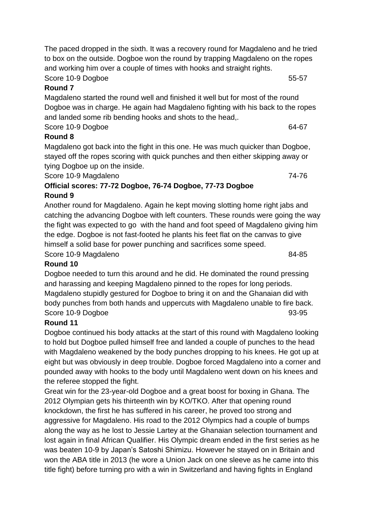The paced dropped in the sixth. It was a recovery round for Magdaleno and he tried to box on the outside. Dogboe won the round by trapping Magdaleno on the ropes and working him over a couple of times with hooks and straight rights.

Score 10-9 Dogboe 55-57

# **Round 7**

Magdaleno started the round well and finished it well but for most of the round Dogboe was in charge. He again had Magdaleno fighting with his back to the ropes and landed some rib bending hooks and shots to the head,.

### Score 10-9 Dogboe 64-67

### **Round 8**

Magdaleno got back into the fight in this one. He was much quicker than Dogboe, stayed off the ropes scoring with quick punches and then either skipping away or tying Dogboe up on the inside.

Score 10-9 Magdaleno 74-76

#### **Official scores: 77-72 Dogboe, 76-74 Dogboe, 77-73 Dogboe Round 9**

Another round for Magdaleno. Again he kept moving slotting home right jabs and catching the advancing Dogboe with left counters. These rounds were going the way the fight was expected to go with the hand and foot speed of Magdaleno giving him the edge. Dogboe is not fast-footed he plants his feet flat on the canvas to give himself a solid base for power punching and sacrifices some speed. Score 10-9 Magdaleno 84-85

### **Round 10**

Dogboe needed to turn this around and he did. He dominated the round pressing and harassing and keeping Magdaleno pinned to the ropes for long periods. Magdaleno stupidly gestured for Dogboe to bring it on and the Ghanaian did with body punches from both hands and uppercuts with Magdaleno unable to fire back. Score 10-9 Dogboe 93-95

# **Round 11**

Dogboe continued his body attacks at the start of this round with Magdaleno looking to hold but Dogboe pulled himself free and landed a couple of punches to the head with Magdaleno weakened by the body punches dropping to his knees. He got up at eight but was obviously in deep trouble. Dogboe forced Magdaleno into a corner and pounded away with hooks to the body until Magdaleno went down on his knees and the referee stopped the fight.

Great win for the 23-year-old Dogboe and a great boost for boxing in Ghana. The 2012 Olympian gets his thirteenth win by KO/TKO. After that opening round knockdown, the first he has suffered in his career, he proved too strong and aggressive for Magdaleno. His road to the 2012 Olympics had a couple of bumps along the way as he lost to Jessie Lartey at the Ghanaian selection tournament and lost again in final African Qualifier. His Olympic dream ended in the first series as he was beaten 10-9 by Japan's Satoshi Shimizu. However he stayed on in Britain and won the ABA title in 2013 (he wore a Union Jack on one sleeve as he came into this title fight) before turning pro with a win in Switzerland and having fights in England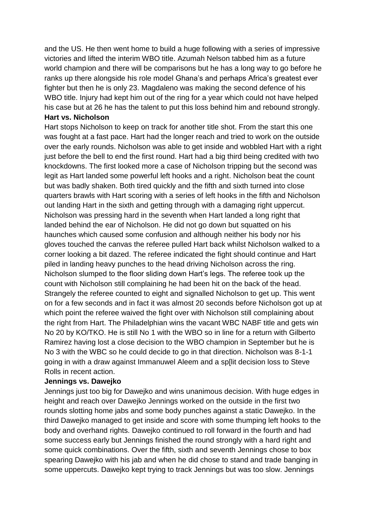and the US. He then went home to build a huge following with a series of impressive victories and lifted the interim WBO title. Azumah Nelson tabbed him as a future world champion and there will be comparisons but he has a long way to go before he ranks up there alongside his role model Ghana's and perhaps Africa's greatest ever fighter but then he is only 23. Magdaleno was making the second defence of his WBO title. Injury had kept him out of the ring for a year which could not have helped his case but at 26 he has the talent to put this loss behind him and rebound strongly. **Hart vs. Nicholson**

Hart stops Nicholson to keep on track for another title shot. From the start this one was fought at a fast pace. Hart had the longer reach and tried to work on the outside over the early rounds. Nicholson was able to get inside and wobbled Hart with a right just before the bell to end the first round. Hart had a big third being credited with two knockdowns. The first looked more a case of Nicholson tripping but the second was legit as Hart landed some powerful left hooks and a right. Nicholson beat the count but was badly shaken. Both tired quickly and the fifth and sixth turned into close quarters brawls with Hart scoring with a series of left hooks in the fifth and Nicholson out landing Hart in the sixth and getting through with a damaging right uppercut. Nicholson was pressing hard in the seventh when Hart landed a long right that landed behind the ear of Nicholson. He did not go down but squatted on his haunches which caused some confusion and although neither his body nor his gloves touched the canvas the referee pulled Hart back whilst Nicholson walked to a corner looking a bit dazed. The referee indicated the fight should continue and Hart piled in landing heavy punches to the head driving Nicholson across the ring. Nicholson slumped to the floor sliding down Hart's legs. The referee took up the count with Nicholson still complaining he had been hit on the back of the head. Strangely the referee counted to eight and signalled Nicholson to get up. This went on for a few seconds and in fact it was almost 20 seconds before Nicholson got up at which point the referee waived the fight over with Nicholson still complaining about the right from Hart. The Philadelphian wins the vacant WBC NABF title and gets win No 20 by KO/TKO. He is still No 1 with the WBO so in line for a return with Gilberto Ramirez having lost a close decision to the WBO champion in September but he is No 3 with the WBC so he could decide to go in that direction. Nicholson was 8-1-1 going in with a draw against Immanuwel Aleem and a sp[lit decision loss to Steve Rolls in recent action.

#### **Jennings vs. Dawejko**

Jennings just too big for Dawejko and wins unanimous decision. With huge edges in height and reach over Dawejko Jennings worked on the outside in the first two rounds slotting home jabs and some body punches against a static Dawejko. In the third Dawejko managed to get inside and score with some thumping left hooks to the body and overhand rights. Dawejko continued to roll forward in the fourth and had some success early but Jennings finished the round strongly with a hard right and some quick combinations. Over the fifth, sixth and seventh Jennings chose to box spearing Dawejko with his jab and when he did chose to stand and trade banging in some uppercuts. Dawejko kept trying to track Jennings but was too slow. Jennings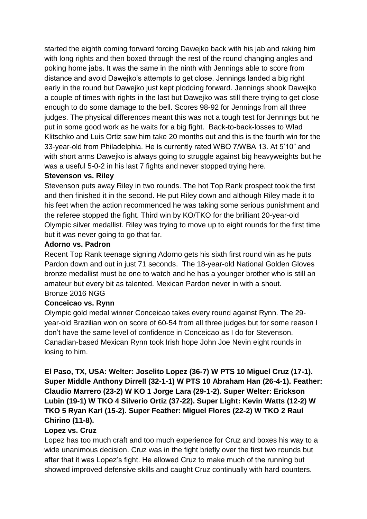started the eighth coming forward forcing Dawejko back with his jab and raking him with long rights and then boxed through the rest of the round changing angles and poking home jabs. It was the same in the ninth with Jennings able to score from distance and avoid Dawejko's attempts to get close. Jennings landed a big right early in the round but Dawejko just kept plodding forward. Jennings shook Dawejko a couple of times with rights in the last but Dawejko was still there trying to get close enough to do some damage to the bell. Scores 98-92 for Jennings from all three judges. The physical differences meant this was not a tough test for Jennings but he put in some good work as he waits for a big fight. Back-to-back-losses to Wlad Klitschko and Luis Ortiz saw him take 20 months out and this is the fourth win for the 33-year-old from Philadelphia. He is currently rated WBO 7/WBA 13. At 5'10" and with short arms Dawejko is always going to struggle against big heavyweights but he was a useful 5-0-2 in his last 7 fights and never stopped trying here.

### **Stevenson vs. Riley**

Stevenson puts away Riley in two rounds. The hot Top Rank prospect took the first and then finished it in the second. He put Riley down and although Riley made it to his feet when the action recommenced he was taking some serious punishment and the referee stopped the fight. Third win by KO/TKO for the brilliant 20-year-old Olympic silver medallist. Riley was trying to move up to eight rounds for the first time but it was never going to go that far.

#### **Adorno vs. Padron**

Recent Top Rank teenage signing Adorno gets his sixth first round win as he puts Pardon down and out in just 71 seconds. The 18-year-old National Golden Gloves bronze medallist must be one to watch and he has a younger brother who is still an amateur but every bit as talented. Mexican Pardon never in with a shout. Bronze 2016 NGG

### **Conceicao vs. Rynn**

Olympic gold medal winner Conceicao takes every round against Rynn. The 29 year-old Brazilian won on score of 60-54 from all three judges but for some reason I don't have the same level of confidence in Conceicao as I do for Stevenson. Canadian-based Mexican Rynn took Irish hope John Joe Nevin eight rounds in losing to him.

**El Paso, TX, USA: Welter: Joselito Lopez (36-7) W PTS 10 Miguel Cruz (17-1). Super Middle Anthony Dirrell (32-1-1) W PTS 10 Abraham Han (26-4-1). Feather: Claudio Marrero (23-2) W KO 1 Jorge Lara (29-1-2). Super Welter: Erickson Lubin (19-1) W TKO 4 Silverio Ortiz (37-22). Super Light: Kevin Watts (12-2) W TKO 5 Ryan Karl (15-2). Super Feather: Miguel Flores (22-2) W TKO 2 Raul Chirino (11-8).**

### **Lopez vs. Cruz**

Lopez has too much craft and too much experience for Cruz and boxes his way to a wide unanimous decision. Cruz was in the fight briefly over the first two rounds but after that it was Lopez's fight. He allowed Cruz to make much of the running but showed improved defensive skills and caught Cruz continually with hard counters.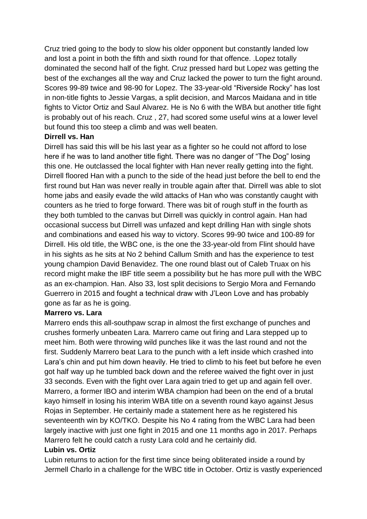Cruz tried going to the body to slow his older opponent but constantly landed low and lost a point in both the fifth and sixth round for that offence. .Lopez totally dominated the second half of the fight. Cruz pressed hard but Lopez was getting the best of the exchanges all the way and Cruz lacked the power to turn the fight around. Scores 99-89 twice and 98-90 for Lopez. The 33-year-old "Riverside Rocky" has lost in non-title fights to Jessie Vargas, a split decision, and Marcos Maidana and in title fights to Victor Ortiz and Saul Alvarez. He is No 6 with the WBA but another title fight is probably out of his reach. Cruz , 27, had scored some useful wins at a lower level but found this too steep a climb and was well beaten.

#### **Dirrell vs. Han**

Dirrell has said this will be his last year as a fighter so he could not afford to lose here if he was to land another title fight. There was no danger of "The Dog" losing this one. He outclassed the local fighter with Han never really getting into the fight. Dirrell floored Han with a punch to the side of the head just before the bell to end the first round but Han was never really in trouble again after that. Dirrell was able to slot home jabs and easily evade the wild attacks of Han who was constantly caught with counters as he tried to forge forward. There was bit of rough stuff in the fourth as they both tumbled to the canvas but Dirrell was quickly in control again. Han had occasional success but Dirrell was unfazed and kept drilling Han with single shots and combinations and eased his way to victory. Scores 99-90 twice and 100-89 for Dirrell. His old title, the WBC one, is the one the 33-year-old from Flint should have in his sights as he sits at No 2 behind Callum Smith and has the experience to test young champion David Benavidez. The one round blast out of Caleb Truax on his record might make the IBF title seem a possibility but he has more pull with the WBC as an ex-champion. Han. Also 33, lost split decisions to Sergio Mora and Fernando Guerrero in 2015 and fought a technical draw with J'Leon Love and has probably gone as far as he is going.

### **Marrero vs. Lara**

Marrero ends this all-southpaw scrap in almost the first exchange of punches and crushes formerly unbeaten Lara. Marrero came out firing and Lara stepped up to meet him. Both were throwing wild punches like it was the last round and not the first. Suddenly Marrero beat Lara to the punch with a left inside which crashed into Lara's chin and put him down heavily. He tried to climb to his feet but before he even got half way up he tumbled back down and the referee waived the fight over in just 33 seconds. Even with the fight over Lara again tried to get up and again fell over. Marrero, a former IBO and interim WBA champion had been on the end of a brutal kayo himself in losing his interim WBA title on a seventh round kayo against Jesus Rojas in September. He certainly made a statement here as he registered his seventeenth win by KO/TKO. Despite his No 4 rating from the WBC Lara had been largely inactive with just one fight in 2015 and one 11 months ago in 2017. Perhaps Marrero felt he could catch a rusty Lara cold and he certainly did.

### **Lubin vs. Ortiz**

Lubin returns to action for the first time since being obliterated inside a round by Jermell Charlo in a challenge for the WBC title in October. Ortiz is vastly experienced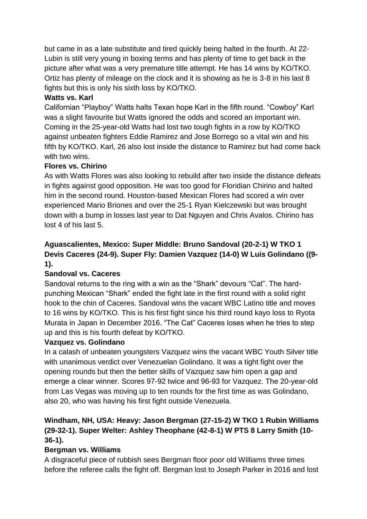but came in as a late substitute and tired quickly being halted in the fourth. At 22- Lubin is still very young in boxing terms and has plenty of time to get back in the picture after what was a very premature title attempt. He has 14 wins by KO/TKO. Ortiz has plenty of mileage on the clock and it is showing as he is 3-8 in his last 8 fights but this is only his sixth loss by KO/TKO.

### **Watts vs. Karl**

Californian "Playboy" Watts halts Texan hope Karl in the fifth round. "Cowboy" Karl was a slight favourite but Watts ignored the odds and scored an important win. Coming in the 25-year-old Watts had lost two tough fights in a row by KO/TKO against unbeaten fighters Eddie Ramirez and Jose Borrego so a vital win and his fifth by KO/TKO. Karl, 26 also lost inside the distance to Ramirez but had come back with two wins.

### **Flores vs. Chirino**

As with Watts Flores was also looking to rebuild after two inside the distance defeats in fights against good opposition. He was too good for Floridian Chirino and halted him in the second round. Houston-based Mexican Flores had scored a win over experienced Mario Briones and over the 25-1 Ryan Kielczewski but was brought down with a bump in losses last year to Dat Nguyen and Chris Avalos. Chirino has lost 4 of his last 5.

### **Aguascalientes, Mexico: Super Middle: Bruno Sandoval (20-2-1) W TKO 1 Devis Caceres (24-9). Super Fly: Damien Vazquez (14-0) W Luis Golindano ((9- 1).**

### **Sandoval vs. Caceres**

Sandoval returns to the ring with a win as the "Shark" devours "Cat". The hardpunching Mexican "Shark" ended the fight late in the first round with a solid right hook to the chin of Caceres. Sandoval wins the vacant WBC Latino title and moves to 16 wins by KO/TKO. This is his first fight since his third round kayo loss to Ryota Murata in Japan in December 2016. "The Cat" Caceres loses when he tries to step up and this is his fourth defeat by KO/TKO.

### **Vazquez vs. Golindano**

In a calash of unbeaten youngsters Vazquez wins the vacant WBC Youth Silver title with unanimous verdict over Venezuelan Golindano. It was a tight fight over the opening rounds but then the better skills of Vazquez saw him open a gap and emerge a clear winner. Scores 97-92 twice and 96-93 for Vazquez. The 20-year-old from Las Vegas was moving up to ten rounds for the first time as was Golindano, also 20, who was having his first fight outside Venezuela.

### **Windham, NH, USA: Heavy: Jason Bergman (27-15-2) W TKO 1 Rubin Williams (29-32-1). Super Welter: Ashley Theophane (42-8-1) W PTS 8 Larry Smith (10- 36-1).**

### **Bergman vs. Williams**

A disgraceful piece of rubbish sees Bergman floor poor old Williams three times before the referee calls the fight off. Bergman lost to Joseph Parker in 2016 and lost